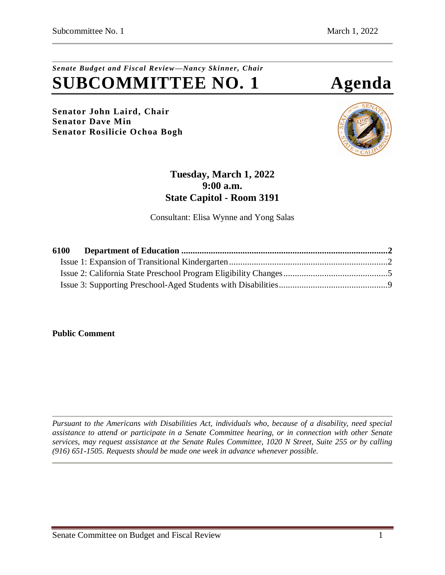# *Senate Budget and Fiscal Review—Nancy Skinner, Chair* **SUBCOMMITTEE NO. 1 Agenda**

**Senator John Laird, Chair Senator Dave Min Senator Rosilicie Ochoa Bogh**



# **Tuesday, March 1, 2022 9:00 a.m. State Capitol - Room 3191**

Consultant: Elisa Wynne and Yong Salas

| 6100 |  |
|------|--|
|      |  |
|      |  |
|      |  |

**Public Comment**

*Pursuant to the Americans with Disabilities Act, individuals who, because of a disability, need special assistance to attend or participate in a Senate Committee hearing, or in connection with other Senate services, may request assistance at the Senate Rules Committee, 1020 N Street, Suite 255 or by calling (916) 651-1505. Requests should be made one week in advance whenever possible.*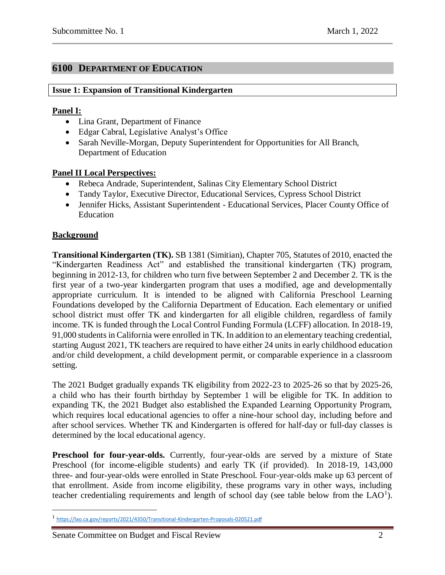# <span id="page-1-0"></span>**6100 DEPARTMENT OF EDUCATION**

#### <span id="page-1-1"></span>**Issue 1: Expansion of Transitional Kindergarten**

#### **Panel I:**

- Lina Grant, Department of Finance
- Edgar Cabral, Legislative Analyst's Office
- Sarah Neville-Morgan, Deputy Superintendent for Opportunities for All Branch, Department of Education

#### **Panel II Local Perspectives:**

- Rebeca Andrade, Superintendent, Salinas City Elementary School District
- Tandy Taylor, Executive Director, Educational Services, Cypress School District
- Jennifer Hicks, Assistant Superintendent Educational Services, Placer County Office of Education

#### **Background**

 $\overline{\phantom{a}}$ 

**Transitional Kindergarten (TK).** SB 1381 (Simitian), Chapter 705, Statutes of 2010, enacted the "Kindergarten Readiness Act" and established the transitional kindergarten (TK) program, beginning in 2012-13, for children who turn five between September 2 and December 2. TK is the first year of a two-year kindergarten program that uses a modified, age and developmentally appropriate curriculum. It is intended to be aligned with California Preschool Learning Foundations developed by the California Department of Education. Each elementary or unified school district must offer TK and kindergarten for all eligible children, regardless of family income. TK is funded through the Local Control Funding Formula (LCFF) allocation. In 2018-19, 91,000 students in California were enrolled in TK. In addition to an elementary teaching credential, starting August 2021, TK teachers are required to have either 24 units in early childhood education and/or child development, a child development permit, or comparable experience in a classroom setting.

The 2021 Budget gradually expands TK eligibility from 2022-23 to 2025-26 so that by 2025-26, a child who has their fourth birthday by September 1 will be eligible for TK. In addition to expanding TK, the 2021 Budget also established the Expanded Learning Opportunity Program, which requires local educational agencies to offer a nine-hour school day, including before and after school services. Whether TK and Kindergarten is offered for half-day or full-day classes is determined by the local educational agency.

Preschool for four-year-olds. Currently, four-year-olds are served by a mixture of State Preschool (for income-eligible students) and early TK (if provided). In 2018-19, 143,000 three- and four-year-olds were enrolled in State Preschool. Four-year-olds make up 63 percent of that enrollment. Aside from income eligibility, these programs vary in other ways, including teacher credentialing requirements and length of school day (see table below from the  $LAO<sup>1</sup>$ ).

#### Senate Committee on Budget and Fiscal Review 2

<sup>1</sup> <https://lao.ca.gov/reports/2021/4350/Transitional-Kindergarten-Proposals-020521.pdf>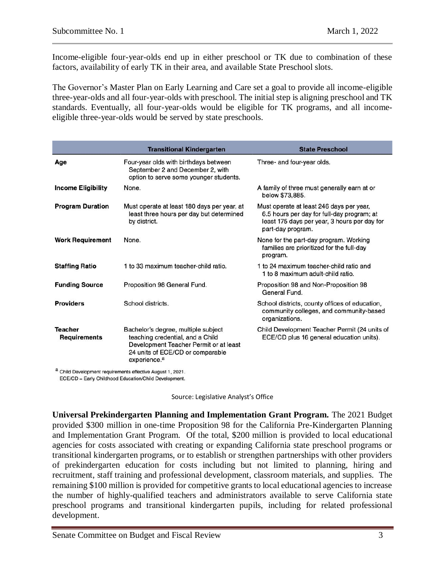Income-eligible four-year-olds end up in either preschool or TK due to combination of these factors, availability of early TK in their area, and available State Preschool slots.

The Governor's Master Plan on Early Learning and Care set a goal to provide all income-eligible three-year-olds and all four-year-olds with preschool. The initial step is aligning preschool and TK standards. Eventually, all four-year-olds would be eligible for TK programs, and all incomeeligible three-year-olds would be served by state preschools.

|                                       | <b>Transitional Kindergarten</b>                                                                                                                                                  | <b>State Preschool</b>                                                                                                                                      |
|---------------------------------------|-----------------------------------------------------------------------------------------------------------------------------------------------------------------------------------|-------------------------------------------------------------------------------------------------------------------------------------------------------------|
| Age                                   | Four-year olds with birthdays between<br>September 2 and December 2, with<br>option to serve some younger students.                                                               | Three- and four-year olds.                                                                                                                                  |
| <b>Income Eligibility</b>             | None.                                                                                                                                                                             | A family of three must generally earn at or<br>below \$73,885.                                                                                              |
| <b>Program Duration</b>               | Must operate at least 180 days per year, at<br>least three hours per day but determined<br>by district.                                                                           | Must operate at least 246 days per year,<br>6.5 hours per day for full-day program; at<br>least 175 days per year, 3 hours per day for<br>part-day program. |
| <b>Work Requirement</b>               | None.                                                                                                                                                                             | None for the part-day program. Working<br>families are prioritized for the full-day<br>program.                                                             |
| <b>Staffing Ratio</b>                 | 1 to 33 maximum teacher-child ratio.                                                                                                                                              | 1 to 24 maximum teacher-child ratio and<br>1 to 8 maximum adult-child ratio.                                                                                |
| <b>Funding Source</b>                 | Proposition 98 General Fund.                                                                                                                                                      | Proposition 98 and Non-Proposition 98<br>General Fund.                                                                                                      |
| <b>Providers</b>                      | School districts.                                                                                                                                                                 | School districts, county offices of education,<br>community colleges, and community-based<br>organizations.                                                 |
| <b>Teacher</b><br><b>Requirements</b> | Bachelor's degree, multiple subject<br>teaching credential, and a Child<br>Development Teacher Permit or at least<br>24 units of ECE/CD or comparable<br>experience. <sup>a</sup> | Child Development Teacher Permit (24 units of<br>ECE/CD plus 16 general education units).                                                                   |
|                                       |                                                                                                                                                                                   |                                                                                                                                                             |

<sup>a</sup> Child Development requirements effective August 1, 2021.

ECE/CD = Early Childhood Education/Child Development.

Source: Legislative Analyst's Office

**Universal Prekindergarten Planning and Implementation Grant Program.** The 2021 Budget provided \$300 million in one-time Proposition 98 for the California Pre-Kindergarten Planning and Implementation Grant Program. Of the total, \$200 million is provided to local educational agencies for costs associated with creating or expanding California state preschool programs or transitional kindergarten programs, or to establish or strengthen partnerships with other providers of prekindergarten education for costs including but not limited to planning, hiring and recruitment, staff training and professional development, classroom materials, and supplies. The remaining \$100 million is provided for competitive grants to local educational agencies to increase the number of highly-qualified teachers and administrators available to serve California state preschool programs and transitional kindergarten pupils, including for related professional development.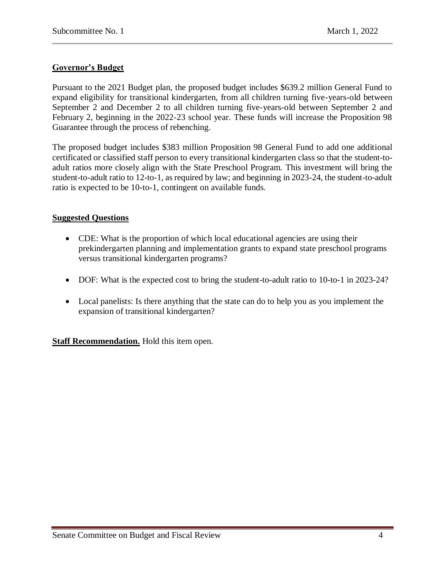# **Governor's Budget**

Pursuant to the 2021 Budget plan, the proposed budget includes \$639.2 million General Fund to expand eligibility for transitional kindergarten, from all children turning five-years-old between September 2 and December 2 to all children turning five-years-old between September 2 and February 2, beginning in the 2022-23 school year. These funds will increase the Proposition 98 Guarantee through the process of rebenching.

The proposed budget includes \$383 million Proposition 98 General Fund to add one additional certificated or classified staff person to every transitional kindergarten class so that the student-toadult ratios more closely align with the State Preschool Program. This investment will bring the student-to-adult ratio to 12-to-1, as required by law; and beginning in 2023-24, the student-to-adult ratio is expected to be 10-to-1, contingent on available funds.

#### **Suggested Questions**

- CDE: What is the proportion of which local educational agencies are using their prekindergarten planning and implementation grants to expand state preschool programs versus transitional kindergarten programs?
- DOF: What is the expected cost to bring the student-to-adult ratio to 10-to-1 in 2023-24?
- Local panelists: Is there anything that the state can do to help you as you implement the expansion of transitional kindergarten?

**Staff Recommendation.** Hold this item open.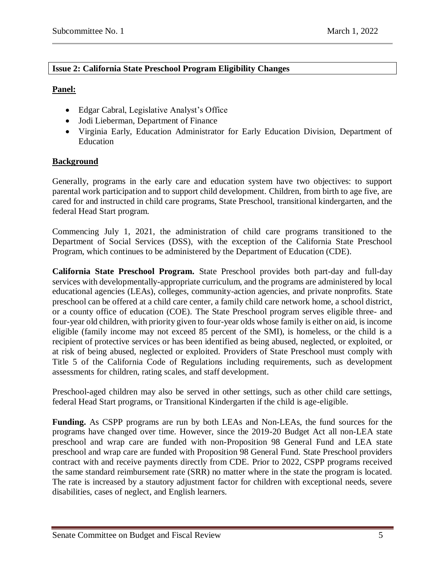#### <span id="page-4-0"></span>**Issue 2: California State Preschool Program Eligibility Changes**

#### **Panel:**

- Edgar Cabral, Legislative Analyst's Office
- Jodi Lieberman, Department of Finance
- Virginia Early, Education Administrator for Early Education Division, Department of Education

# **Background**

Generally, programs in the early care and education system have two objectives: to support parental work participation and to support child development. Children, from birth to age five, are cared for and instructed in child care programs, State Preschool, transitional kindergarten, and the federal Head Start program.

Commencing July 1, 2021, the administration of child care programs transitioned to the Department of Social Services (DSS), with the exception of the California State Preschool Program, which continues to be administered by the Department of Education (CDE).

**California State Preschool Program.** State Preschool provides both part-day and full-day services with developmentally-appropriate curriculum, and the programs are administered by local educational agencies (LEAs), colleges, community-action agencies, and private nonprofits. State preschool can be offered at a child care center, a family child care network home, a school district, or a county office of education (COE). The State Preschool program serves eligible three- and four-year old children, with priority given to four-year olds whose family is either on aid, is income eligible (family income may not exceed 85 percent of the SMI), is homeless, or the child is a recipient of protective services or has been identified as being abused, neglected, or exploited, or at risk of being abused, neglected or exploited. Providers of State Preschool must comply with Title 5 of the California Code of Regulations including requirements, such as development assessments for children, rating scales, and staff development.

Preschool-aged children may also be served in other settings, such as other child care settings, federal Head Start programs, or Transitional Kindergarten if the child is age-eligible.

**Funding.** As CSPP programs are run by both LEAs and Non-LEAs, the fund sources for the programs have changed over time. However, since the 2019-20 Budget Act all non-LEA state preschool and wrap care are funded with non-Proposition 98 General Fund and LEA state preschool and wrap care are funded with Proposition 98 General Fund. State Preschool providers contract with and receive payments directly from CDE. Prior to 2022, CSPP programs received the same standard reimbursement rate (SRR) no matter where in the state the program is located. The rate is increased by a stautory adjustment factor for children with exceptional needs, severe disabilities, cases of neglect, and English learners.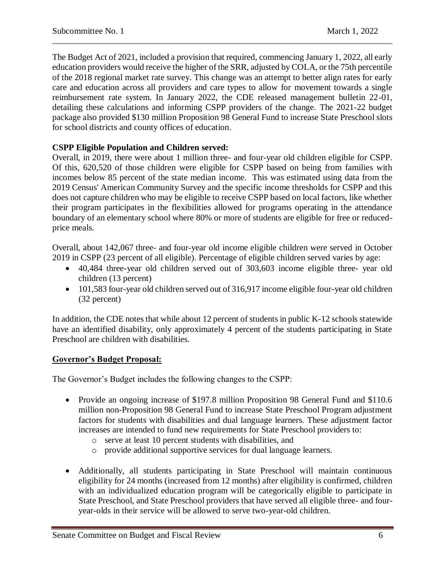The Budget Act of 2021, included a provision that required, commencing January 1, 2022, all early education providers would receive the higher of the SRR, adjusted by COLA, or the 75th percentile of the 2018 regional market rate survey. This change was an attempt to better align rates for early care and education across all providers and care types to allow for movement towards a single reimbursement rate system. In January 2022, the CDE released management bulletin 22-01, detailing these calculations and informing CSPP providers of the change. The 2021-22 budget package also provided \$130 million Proposition 98 General Fund to increase State Preschool slots for school districts and county offices of education.

#### **CSPP Eligible Population and Children served:**

Overall, in 2019, there were about 1 million three- and four-year old children eligible for CSPP. Of this, 620,520 of those children were eligible for CSPP based on being from families with incomes below 85 percent of the state median income. This was estimated using data from the 2019 Census' American Community Survey and the specific income thresholds for CSPP and this does not capture children who may be eligible to receive CSPP based on local factors, like whether their program participates in the flexibilities allowed for programs operating in the attendance boundary of an elementary school where 80% or more of students are eligible for free or reducedprice meals.

Overall, about 142,067 three- and four-year old income eligible children were served in October 2019 in CSPP (23 percent of all eligible). Percentage of eligible children served varies by age:

- 40,484 three-year old children served out of 303,603 income eligible three- year old children (13 percent)
- 101,583 four-year old children served out of 316,917 income eligible four-year old children (32 percent)

In addition, the CDE notes that while about 12 percent of students in public K-12 schools statewide have an identified disability, only approximately 4 percent of the students participating in State Preschool are children with disabilities.

#### **Governor's Budget Proposal:**

The Governor's Budget includes the following changes to the CSPP:

- Provide an ongoing increase of \$197.8 million Proposition 98 General Fund and \$110.6 million non-Proposition 98 General Fund to increase State Preschool Program adjustment factors for students with disabilities and dual language learners. These adjustment factor increases are intended to fund new requirements for State Preschool providers to:
	- o serve at least 10 percent students with disabilities, and
	- o provide additional supportive services for dual language learners.
- Additionally, all students participating in State Preschool will maintain continuous eligibility for 24 months (increased from 12 months) after eligibility is confirmed, children with an individualized education program will be categorically eligible to participate in State Preschool, and State Preschool providers that have served all eligible three- and fouryear-olds in their service will be allowed to serve two-year-old children.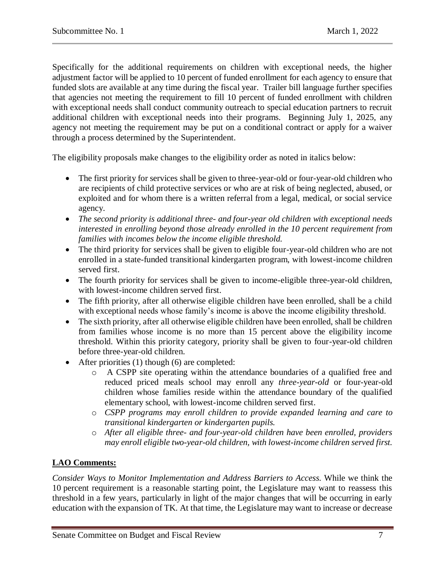Specifically for the additional requirements on children with exceptional needs, the higher adjustment factor will be applied to 10 percent of funded enrollment for each agency to ensure that funded slots are available at any time during the fiscal year. Trailer bill language further specifies that agencies not meeting the requirement to fill 10 percent of funded enrollment with children with exceptional needs shall conduct community outreach to special education partners to recruit additional children with exceptional needs into their programs. Beginning July 1, 2025, any agency not meeting the requirement may be put on a conditional contract or apply for a waiver through a process determined by the Superintendent.

The eligibility proposals make changes to the eligibility order as noted in italics below:

- The first priority for services shall be given to three-year-old or four-year-old children who are recipients of child protective services or who are at risk of being neglected, abused, or exploited and for whom there is a written referral from a legal, medical, or social service agency.
- *The second priority is additional three- and four-year old children with exceptional needs interested in enrolling beyond those already enrolled in the 10 percent requirement from families with incomes below the income eligible threshold.*
- The third priority for services shall be given to eligible four-year-old children who are not enrolled in a state-funded transitional kindergarten program, with lowest-income children served first.
- The fourth priority for services shall be given to income-eligible three-year-old children, with lowest-income children served first.
- The fifth priority, after all otherwise eligible children have been enrolled, shall be a child with exceptional needs whose family's income is above the income eligibility threshold.
- The sixth priority, after all otherwise eligible children have been enrolled, shall be children from families whose income is no more than 15 percent above the eligibility income threshold. Within this priority category, priority shall be given to four-year-old children before three-year-old children.
- After priorities (1) though (6) are completed:
	- o A CSPP site operating within the attendance boundaries of a qualified free and reduced priced meals school may enroll any *three-year-old* or four-year-old children whose families reside within the attendance boundary of the qualified elementary school, with lowest-income children served first.
	- o *CSPP programs may enroll children to provide expanded learning and care to transitional kindergarten or kindergarten pupils.*
	- o *After all eligible three- and four-year-old children have been enrolled, providers may enroll eligible two-year-old children, with lowest-income children served first.*

# **LAO Comments:**

*Consider Ways to Monitor Implementation and Address Barriers to Access.* While we think the 10 percent requirement is a reasonable starting point, the Legislature may want to reassess this threshold in a few years, particularly in light of the major changes that will be occurring in early education with the expansion of TK. At that time, the Legislature may want to increase or decrease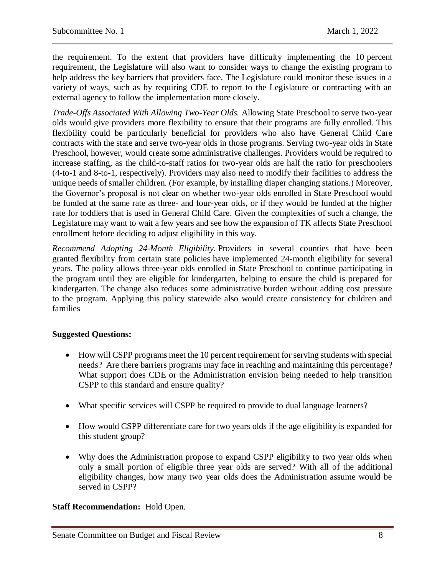the requirement. To the extent that providers have difficulty implementing the 10 percent requirement, the Legislature will also want to consider ways to change the existing program to help address the key barriers that providers face. The Legislature could monitor these issues in a variety of ways, such as by requiring CDE to report to the Legislature or contracting with an external agency to follow the implementation more closely.

*Trade-Offs Associated With Allowing Two-Year Olds.* Allowing State Preschool to serve two-year olds would give providers more flexibility to ensure that their programs are fully enrolled. This flexibility could be particularly beneficial for providers who also have General Child Care contracts with the state and serve two-year olds in those programs. Serving two-year olds in State Preschool, however, would create some administrative challenges. Providers would be required to increase staffing, as the child-to-staff ratios for two-year olds are half the ratio for preschoolers (4-to-1 and 8-to-1, respectively). Providers may also need to modify their facilities to address the unique needs of smaller children. (For example, by installing diaper changing stations.) Moreover, the Governor's proposal is not clear on whether two-year olds enrolled in State Preschool would be funded at the same rate as three- and four-year olds, or if they would be funded at the higher rate for toddlers that is used in General Child Care. Given the complexities of such a change, the Legislature may want to wait a few years and see how the expansion of TK affects State Preschool enrollment before deciding to adjust eligibility in this way.

*Recommend Adopting 24-Month Eligibility.* Providers in several counties that have been granted [flexibility from certain state policies](https://lao.ca.gov/Publications/Report/4431) have implemented 24-month eligibility for several years. The policy allows three-year olds enrolled in State Preschool to continue participating in the program until they are eligible for kindergarten, helping to ensure the child is prepared for kindergarten. The change also reduces some administrative burden without adding cost pressure to the program. Applying this policy statewide also would create consistency for children and families

#### **Suggested Questions:**

- How will CSPP programs meet the 10 percent requirement for serving students with special needs? Are there barriers programs may face in reaching and maintaining this percentage? What support does CDE or the Administration envision being needed to help transition CSPP to this standard and ensure quality?
- What specific services will CSPP be required to provide to dual language learners?
- How would CSPP differentiate care for two years olds if the age eligibility is expanded for this student group?
- Why does the Administration propose to expand CSPP eligibility to two year olds when only a small portion of eligible three year olds are served? With all of the additional eligibility changes, how many two year olds does the Administration assume would be served in CSPP?

#### **Staff Recommendation:** Hold Open.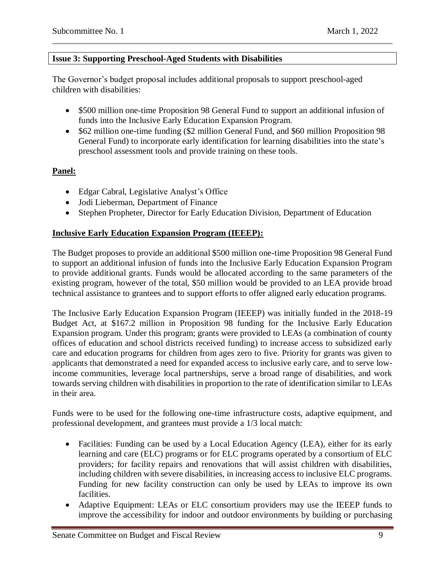#### <span id="page-8-0"></span>**Issue 3: Supporting Preschool-Aged Students with Disabilities**

The Governor's budget proposal includes additional proposals to support preschool-aged children with disabilities:

- \$500 million one-time Proposition 98 General Fund to support an additional infusion of funds into the Inclusive Early Education Expansion Program.
- \$62 million one-time funding (\$2 million General Fund, and \$60 million Proposition 98 General Fund) to incorporate early identification for learning disabilities into the state's preschool assessment tools and provide training on these tools.

# **Panel:**

- Edgar Cabral, Legislative Analyst's Office
- Jodi Lieberman, Department of Finance
- Stephen Propheter, Director for Early Education Division, Department of Education

#### **Inclusive Early Education Expansion Program (IEEEP):**

The Budget proposes to provide an additional \$500 million one-time Proposition 98 General Fund to support an additional infusion of funds into the Inclusive Early Education Expansion Program to provide additional grants. Funds would be allocated according to the same parameters of the existing program, however of the total, \$50 million would be provided to an LEA provide broad technical assistance to grantees and to support efforts to offer aligned early education programs.

The Inclusive Early Education Expansion Program (IEEEP) was initially funded in the 2018-19 Budget Act, at \$167.2 million in Proposition 98 funding for the Inclusive Early Education Expansion program. Under this program; grants were provided to LEAs (a combination of county offices of education and school districts received funding) to increase access to subsidized early care and education programs for children from ages zero to five. Priority for grants was given to applicants that demonstrated a need for expanded access to inclusive early care, and to serve lowincome communities, leverage local partnerships, serve a broad range of disabilities, and work towards serving children with disabilities in proportion to the rate of identification similar to LEAs in their area.

Funds were to be used for the following one-time infrastructure costs, adaptive equipment, and professional development, and grantees must provide a 1/3 local match:

- Facilities: Funding can be used by a Local Education Agency (LEA), either for its early learning and care (ELC) programs or for ELC programs operated by a consortium of ELC providers; for facility repairs and renovations that will assist children with disabilities, including children with severe disabilities, in increasing access to inclusive ELC programs. Funding for new facility construction can only be used by LEAs to improve its own facilities.
- Adaptive Equipment: LEAs or ELC consortium providers may use the IEEEP funds to improve the accessibility for indoor and outdoor environments by building or purchasing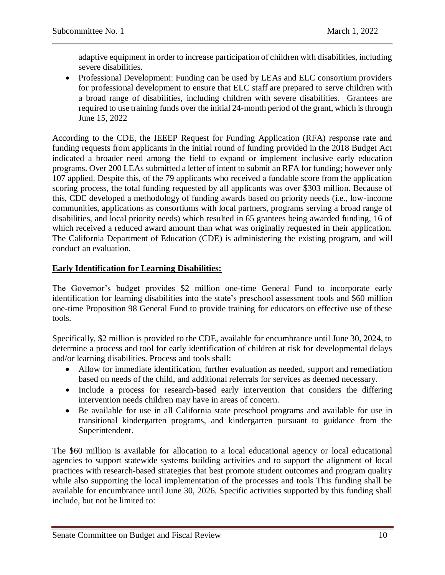adaptive equipment in order to increase participation of children with disabilities, including severe disabilities.

• Professional Development: Funding can be used by LEAs and ELC consortium providers for professional development to ensure that ELC staff are prepared to serve children with a broad range of disabilities, including children with severe disabilities. Grantees are required to use training funds over the initial 24-month period of the grant, which is through June 15, 2022

According to the CDE, the IEEEP Request for Funding Application (RFA) response rate and funding requests from applicants in the initial round of funding provided in the 2018 Budget Act indicated a broader need among the field to expand or implement inclusive early education programs. Over 200 LEAs submitted a letter of intent to submit an RFA for funding; however only 107 applied. Despite this, of the 79 applicants who received a fundable score from the application scoring process, the total funding requested by all applicants was over \$303 million. Because of this, CDE developed a methodology of funding awards based on priority needs (i.e., low-income communities, applications as consortiums with local partners, programs serving a broad range of disabilities, and local priority needs) which resulted in 65 grantees being awarded funding, 16 of which received a reduced award amount than what was originally requested in their application. The California Department of Education (CDE) is administering the existing program, and will conduct an evaluation.

# **Early Identification for Learning Disabilities:**

The Governor's budget provides \$2 million one-time General Fund to incorporate early identification for learning disabilities into the state's preschool assessment tools and \$60 million one-time Proposition 98 General Fund to provide training for educators on effective use of these tools.

Specifically, \$2 million is provided to the CDE, available for encumbrance until June 30, 2024, to determine a process and tool for early identification of children at risk for developmental delays and/or learning disabilities. Process and tools shall:

- Allow for immediate identification, further evaluation as needed, support and remediation based on needs of the child, and additional referrals for services as deemed necessary.
- Include a process for research-based early intervention that considers the differing intervention needs children may have in areas of concern.
- Be available for use in all California state preschool programs and available for use in transitional kindergarten programs, and kindergarten pursuant to guidance from the Superintendent.

The \$60 million is available for allocation to a local educational agency or local educational agencies to support statewide systems building activities and to support the alignment of local practices with research-based strategies that best promote student outcomes and program quality while also supporting the local implementation of the processes and tools This funding shall be available for encumbrance until June 30, 2026. Specific activities supported by this funding shall include, but not be limited to: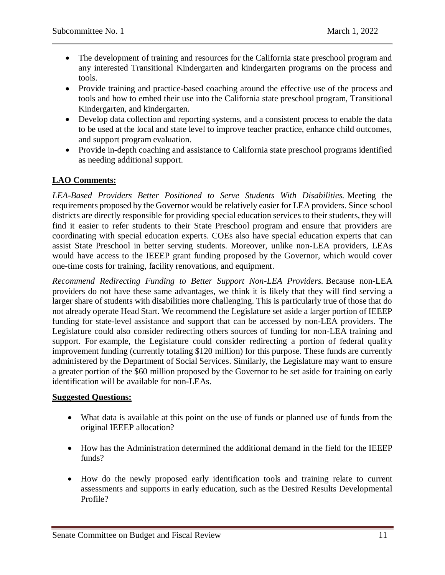- The development of training and resources for the California state preschool program and any interested Transitional Kindergarten and kindergarten programs on the process and tools.
- Provide training and practice-based coaching around the effective use of the process and tools and how to embed their use into the California state preschool program, Transitional Kindergarten, and kindergarten.
- Develop data collection and reporting systems, and a consistent process to enable the data to be used at the local and state level to improve teacher practice, enhance child outcomes, and support program evaluation.
- Provide in-depth coaching and assistance to California state preschool programs identified as needing additional support.

# **LAO Comments:**

*LEA-Based Providers Better Positioned to Serve Students With Disabilities.* Meeting the requirements proposed by the Governor would be relatively easier for LEA providers. Since school districts are directly responsible for providing special education services to their students, they will find it easier to refer students to their State Preschool program and ensure that providers are coordinating with special education experts. COEs also have special education experts that can assist State Preschool in better serving students. Moreover, unlike non-LEA providers, LEAs would have access to the IEEEP grant funding proposed by the Governor, which would cover one-time costs for training, facility renovations, and equipment.

*Recommend Redirecting Funding to Better Support Non-LEA Providers.* Because non-LEA providers do not have these same advantages, we think it is likely that they will find serving a larger share of students with disabilities more challenging. This is particularly true of those that do not already operate Head Start. We recommend the Legislature set aside a larger portion of IEEEP funding for state-level assistance and support that can be accessed by non-LEA providers. The Legislature could also consider redirecting others sources of funding for non-LEA training and support. For example, the Legislature could consider redirecting a portion of federal quality improvement funding (currently totaling \$120 million) for this purpose. These funds are currently administered by the Department of Social Services. Similarly, the Legislature may want to ensure a greater portion of the \$60 million proposed by the Governor to be set aside for training on early identification will be available for non-LEAs.

#### **Suggested Questions:**

- What data is available at this point on the use of funds or planned use of funds from the original IEEEP allocation?
- How has the Administration determined the additional demand in the field for the IEEEP funds?
- How do the newly proposed early identification tools and training relate to current assessments and supports in early education, such as the Desired Results Developmental Profile?